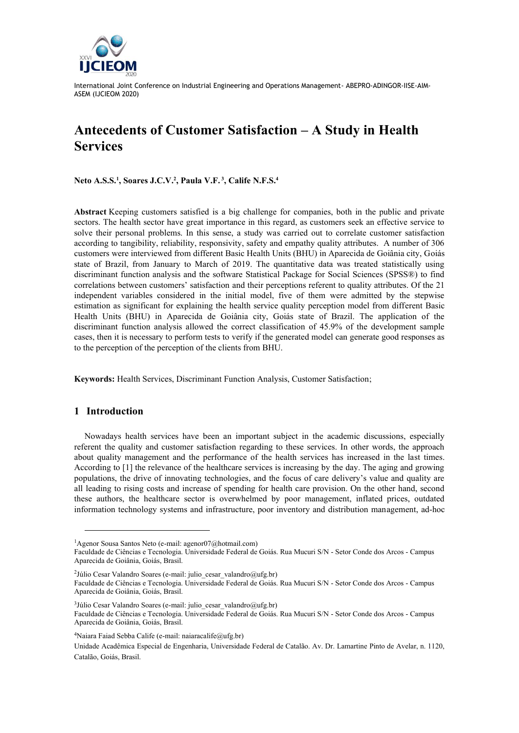

# **Antecedents of Customer Satisfaction – A Study in Health Services**

**Neto A.S.S.<sup>1</sup> , Soares J.C.V.<sup>2</sup> , Paula V.F. <sup>3</sup> , Calife N.F.S.<sup>4</sup>**

**Abstract** Keeping customers satisfied is a big challenge for companies, both in the public and private sectors. The health sector have great importance in this regard, as customers seek an effective service to solve their personal problems. In this sense, a study was carried out to correlate customer satisfaction according to tangibility, reliability, responsivity, safety and empathy quality attributes. A number of 306 customers were interviewed from different Basic Health Units (BHU) in Aparecida de Goiânia city, Goiás state of Brazil, from January to March of 2019. The quantitative data was treated statistically using discriminant function analysis and the software Statistical Package for Social Sciences (SPSS®) to find correlations between customers' satisfaction and their perceptions referent to quality attributes. Of the 21 independent variables considered in the initial model, five of them were admitted by the stepwise estimation as significant for explaining the health service quality perception model from different Basic Health Units (BHU) in Aparecida de Goiânia city, Goiás state of Brazil. The application of the discriminant function analysis allowed the correct classification of 45.9% of the development sample cases, then it is necessary to perform tests to verify if the generated model can generate good responses as to the perception of the perception of the clients from BHU.

**Keywords:** Health Services, Discriminant Function Analysis, Customer Satisfaction;

## **1 Introduction**

Nowadays health services have been an important subject in the academic discussions, especially referent the quality and customer satisfaction regarding to these services. In other words, the approach about quality management and the performance of the health services has increased in the last times. According to [1] the relevance of the healthcare services is increasing by the day. The aging and growing populations, the drive of innovating technologies, and the focus of care delivery's value and quality are all leading to rising costs and increase of spending for health care provision. On the other hand, second these authors, the healthcare sector is overwhelmed by poor management, inflated prices, outdated information technology systems and infrastructure, poor inventory and distribution management, ad-hoc

<sup>&</sup>lt;sup>1</sup>Agenor Sousa Santos Neto (e-mail: agenor07@hotmail.com)

Faculdade de Ciências e Tecnologia. Universidade Federal de Goiás. Rua Mucuri S/N - Setor Conde dos Arcos - Campus Aparecida de Goiânia, Goiás, Brasil.

<sup>&</sup>lt;sup>2</sup>Júlio Cesar Valandro Soares (e-mail: julio cesar valandro@ufg.br)

Faculdade de Ciências e Tecnologia. Universidade Federal de Goiás. Rua Mucuri S/N - Setor Conde dos Arcos - Campus Aparecida de Goiânia, Goiás, Brasil.

<sup>&</sup>lt;sup>3</sup>Júlio Cesar Valandro Soares (e-mail: julio\_cesar\_valandro@ufg.br) Faculdade de Ciências e Tecnologia. Universidade Federal de Goiás. Rua Mucuri S/N - Setor Conde dos Arcos - Campus Aparecida de Goiânia, Goiás, Brasil.

<sup>&</sup>lt;sup>4</sup>Naiara Faiad Sebba Calife (e-mail[: naiaracalife@ufg.br\)](mailto:naiaracalife@ufg.br)

Unidade Acadêmica Especial de Engenharia, Universidade Federal de Catalão. Av. Dr. Lamartine Pinto de Avelar, n. 1120, Catalão, Goiás, Brasil.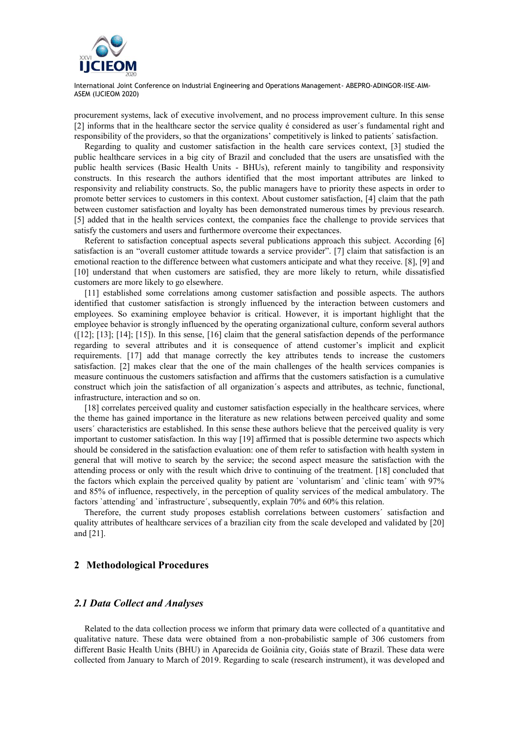

procurement systems, lack of executive involvement, and no process improvement culture. In this sense [2] informs that in the healthcare sector the service quality é considered as user´s fundamental right and responsibility of the providers, so that the organizations' competitively is linked to patients´ satisfaction.

Regarding to quality and customer satisfaction in the health care services context, [3] studied the public healthcare services in a big city of Brazil and concluded that the users are unsatisfied with the public health services (Basic Health Units - BHUs), referent mainly to tangibility and responsivity constructs. In this research the authors identified that the most important attributes are linked to responsivity and reliability constructs. So, the public managers have to priority these aspects in order to promote better services to customers in this context. About customer satisfaction, [4] claim that the path between customer satisfaction and loyalty has been demonstrated numerous times by previous research. [5] added that in the health services context, the companies face the challenge to provide services that satisfy the customers and users and furthermore overcome their expectances.

Referent to satisfaction conceptual aspects several publications approach this subject. According [6] satisfaction is an "overall customer attitude towards a service provider". [7] claim that satisfaction is an emotional reaction to the difference between what customers anticipate and what they receive. [8], [9] and [10] understand that when customers are satisfied, they are more likely to return, while dissatisfied customers are more likely to go elsewhere.

[11] established some correlations among customer satisfaction and possible aspects. The authors identified that customer satisfaction is strongly influenced by the interaction between customers and employees. So examining employee behavior is critical. However, it is important highlight that the employee behavior is strongly influenced by the operating organizational culture, conform several authors ([12]; [13]; [14]; [15]). In this sense, [16] claim that the general satisfaction depends of the performance regarding to several attributes and it is consequence of attend customer's implicit and explicit requirements. [17] add that manage correctly the key attributes tends to increase the customers satisfaction. [2] makes clear that the one of the main challenges of the health services companies is measure continuous the customers satisfaction and affirms that the customers satisfaction is a cumulative construct which join the satisfaction of all organization´s aspects and attributes, as technic, functional, infrastructure, interaction and so on.

[18] correlates perceived quality and customer satisfaction especially in the healthcare services, where the theme has gained importance in the literature as new relations between perceived quality and some users´ characteristics are established. In this sense these authors believe that the perceived quality is very important to customer satisfaction. In this way [19] affirmed that is possible determine two aspects which should be considered in the satisfaction evaluation: one of them refer to satisfaction with health system in general that will motive to search by the service; the second aspect measure the satisfaction with the attending process or only with the result which drive to continuing of the treatment. [18] concluded that the factors which explain the perceived quality by patient are `voluntarism´ and `clinic team´ with 97% and 85% of influence, respectively, in the perception of quality services of the medical ambulatory. The factors 'attending' and 'infrastructure', subsequently, explain 70% and 60% this relation.

Therefore, the current study proposes establish correlations between customers´ satisfaction and quality attributes of healthcare services of a brazilian city from the scale developed and validated by [20] and [21].

## **2 Methodological Procedures**

## *2.1 Data Collect and Analyses*

Related to the data collection process we inform that primary data were collected of a quantitative and qualitative nature. These data were obtained from a non-probabilistic sample of 306 customers from different Basic Health Units (BHU) in Aparecida de Goiânia city, Goiás state of Brazil. These data were collected from January to March of 2019. Regarding to scale (research instrument), it was developed and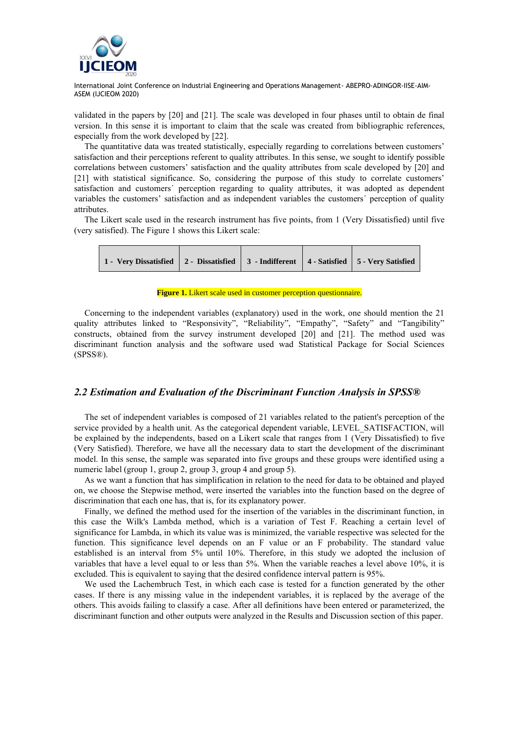

validated in the papers by [20] and [21]. The scale was developed in four phases until to obtain de final version. In this sense it is important to claim that the scale was created from bibliographic references, especially from the work developed by [22].

The quantitative data was treated statistically, especially regarding to correlations between customers' satisfaction and their perceptions referent to quality attributes. In this sense, we sought to identify possible correlations between customers' satisfaction and the quality attributes from scale developed by [20] and [21] with statistical significance. So, considering the purpose of this study to correlate customers' satisfaction and customers´ perception regarding to quality attributes, it was adopted as dependent variables the customers' satisfaction and as independent variables the customers´ perception of quality attributes.

The Likert scale used in the research instrument has five points, from 1 (Very Dissatisfied) until five (very satisfied). The Figure 1 shows this Likert scale:

| 1 - Very Dissatisfied 2 - Dissatisfied 3 - Indifferent 4 - Satisfied 5 - Very Satisfied |  |  |  |  |
|-----------------------------------------------------------------------------------------|--|--|--|--|
|-----------------------------------------------------------------------------------------|--|--|--|--|

#### **Figure 1.** Likert scale used in customer perception questionnaire.

Concerning to the independent variables (explanatory) used in the work, one should mention the 21 quality attributes linked to "Responsivity", "Reliability", "Empathy", "Safety" and "Tangibility" constructs, obtained from the survey instrument developed [20] and [21]. The method used was discriminant function analysis and the software used wad Statistical Package for Social Sciences (SPSS®).

### *2.2 Estimation and Evaluation of the Discriminant Function Analysis in SPSS®*

The set of independent variables is composed of 21 variables related to the patient's perception of the service provided by a health unit. As the categorical dependent variable, LEVEL SATISFACTION, will be explained by the independents, based on a Likert scale that ranges from 1 (Very Dissatisfied) to five (Very Satisfied). Therefore, we have all the necessary data to start the development of the discriminant model. In this sense, the sample was separated into five groups and these groups were identified using a numeric label (group 1, group 2, group 3, group 4 and group 5).

As we want a function that has simplification in relation to the need for data to be obtained and played on, we choose the Stepwise method, were inserted the variables into the function based on the degree of discrimination that each one has, that is, for its explanatory power.

Finally, we defined the method used for the insertion of the variables in the discriminant function, in this case the Wilk's Lambda method, which is a variation of Test F. Reaching a certain level of significance for Lambda, in which its value was is minimized, the variable respective was selected for the function. This significance level depends on an F value or an F probability. The standard value established is an interval from 5% until 10%. Therefore, in this study we adopted the inclusion of variables that have a level equal to or less than 5%. When the variable reaches a level above 10%, it is excluded. This is equivalent to saying that the desired confidence interval pattern is 95%.

We used the Lachembruch Test, in which each case is tested for a function generated by the other cases. If there is any missing value in the independent variables, it is replaced by the average of the others. This avoids failing to classify a case. After all definitions have been entered or parameterized, the discriminant function and other outputs were analyzed in the Results and Discussion section of this paper.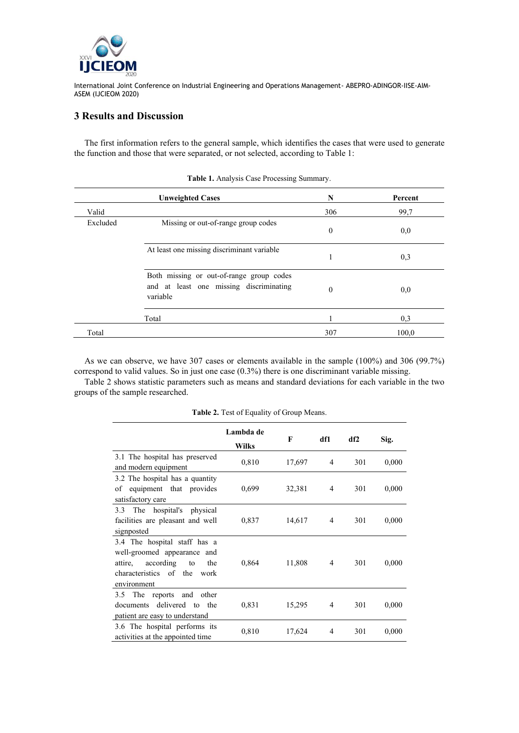

# **3 Results and Discussion**

The first information refers to the general sample, which identifies the cases that were used to generate the function and those that were separated, or not selected, according to Table 1:

|          | <b>Unweighted Cases</b>                                                                         | N        | Percent |
|----------|-------------------------------------------------------------------------------------------------|----------|---------|
| Valid    |                                                                                                 | 306      | 99,7    |
| Excluded | Missing or out-of-range group codes                                                             | $\theta$ | 0,0     |
|          | At least one missing discriminant variable                                                      |          | 0,3     |
|          | Both missing or out-of-range group codes<br>and at least one missing discriminating<br>variable | $\Omega$ | 0,0     |
|          | Total                                                                                           |          | 0,3     |
| Total    |                                                                                                 | 307      | 100,0   |

**Table 1.** Analysis Case Processing Summary.

As we can observe, we have 307 cases or elements available in the sample (100%) and 306 (99.7%) correspond to valid values. So in just one case (0.3%) there is one discriminant variable missing.

Table 2 shows statistic parameters such as means and standard deviations for each variable in the two groups of the sample researched.

|                                                                                                                                                   | Lambda de<br><b>Wilks</b> | F      | df1            | df2 | Sig.  |
|---------------------------------------------------------------------------------------------------------------------------------------------------|---------------------------|--------|----------------|-----|-------|
| 3.1 The hospital has preserved<br>and modern equipment                                                                                            | 0,810                     | 17,697 | $\overline{4}$ | 301 | 0,000 |
| 3.2 The hospital has a quantity<br>equipment that provides<br>οf<br>satisfactory care                                                             | 0,699                     | 32,381 | 4              | 301 | 0,000 |
| 3.3 The hospital's physical<br>facilities are pleasant and well<br>signposted                                                                     | 0,837                     | 14,617 | 4              | 301 | 0,000 |
| 3.4 The hospital staff has a<br>well-groomed appearance and<br>according<br>the<br>attire,<br>to<br>characteristics of the<br>work<br>environment | 0,864                     | 11,808 | 4              | 301 | 0,000 |
| The<br>reports and<br>3.5<br>other<br>documents delivered to the<br>patient are easy to understand                                                | 0,831                     | 15,295 | 4              | 301 | 0,000 |
| 3.6 The hospital performs its<br>activities at the appointed time                                                                                 | 0,810                     | 17,624 | 4              | 301 | 0,000 |

**Table 2.** Test of Equality of Group Means.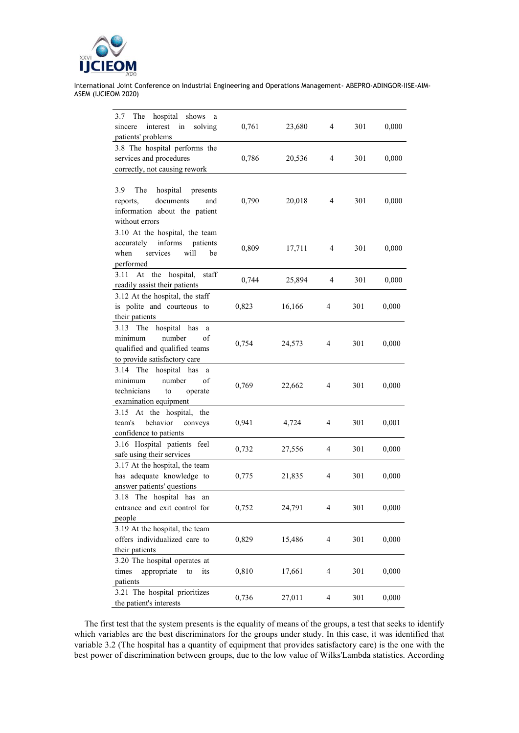

| The<br>hospital shows<br>3.7<br>a<br>interest<br>sincere<br>in                                                            |       |        | 4 | 301 | 0,000 |
|---------------------------------------------------------------------------------------------------------------------------|-------|--------|---|-----|-------|
| solving<br>patients' problems                                                                                             | 0,761 | 23,680 |   |     |       |
| 3.8 The hospital performs the                                                                                             |       |        |   |     |       |
| services and procedures                                                                                                   | 0,786 | 20,536 | 4 | 301 | 0,000 |
| correctly, not causing rework                                                                                             |       |        |   |     |       |
|                                                                                                                           |       |        |   |     |       |
| 3.9<br>hospital<br>The<br>presents<br>documents<br>reports,<br>and<br>information about the patient<br>without errors     | 0,790 | 20,018 | 4 | 301 | 0,000 |
| 3.10 At the hospital, the team<br>accurately<br>informs<br>patients<br>services<br>will<br>when<br>be<br>performed        | 0,809 | 17,711 | 4 | 301 | 0,000 |
| At the hospital, staff<br>3.11<br>readily assist their patients                                                           | 0,744 | 25,894 | 4 | 301 | 0,000 |
| 3.12 At the hospital, the staff<br>is polite and courteous to<br>their patients                                           | 0,823 | 16,166 | 4 | 301 | 0,000 |
| The hospital has<br>3.13<br>a<br>minimum<br>number<br>of<br>qualified and qualified teams<br>to provide satisfactory care | 0,754 | 24,573 | 4 | 301 | 0,000 |
| The<br>hospital has<br>3.14<br>a<br>minimum<br>number<br>οf<br>technicians<br>operate<br>to<br>examination equipment      | 0,769 | 22,662 | 4 | 301 | 0,000 |
| 3.15 At the hospital, the<br>behavior<br>team's<br>conveys<br>confidence to patients                                      | 0,941 | 4,724  | 4 | 301 | 0,001 |
| 3.16 Hospital patients feel<br>safe using their services                                                                  | 0,732 | 27,556 | 4 | 301 | 0,000 |
| 3.17 At the hospital, the team<br>has adequate knowledge to<br>answer patients' questions                                 | 0,775 | 21,835 | 4 | 301 | 0,000 |
| 3.18 The hospital has an<br>entrance and exit control for<br>people                                                       | 0,752 | 24,791 | 4 | 301 | 0,000 |
| 3.19 At the hospital, the team<br>offers individualized care to<br>their patients                                         | 0,829 | 15,486 | 4 | 301 | 0,000 |
| 3.20 The hospital operates at<br>appropriate<br>times<br>to<br>its<br>patients                                            | 0,810 | 17,661 | 4 | 301 | 0,000 |
| 3.21 The hospital prioritizes<br>the patient's interests                                                                  | 0,736 | 27,011 | 4 | 301 | 0,000 |

The first test that the system presents is the equality of means of the groups, a test that seeks to identify which variables are the best discriminators for the groups under study. In this case, it was identified that variable 3.2 (The hospital has a quantity of equipment that provides satisfactory care) is the one with the best power of discrimination between groups, due to the low value of Wilks'Lambda statistics. According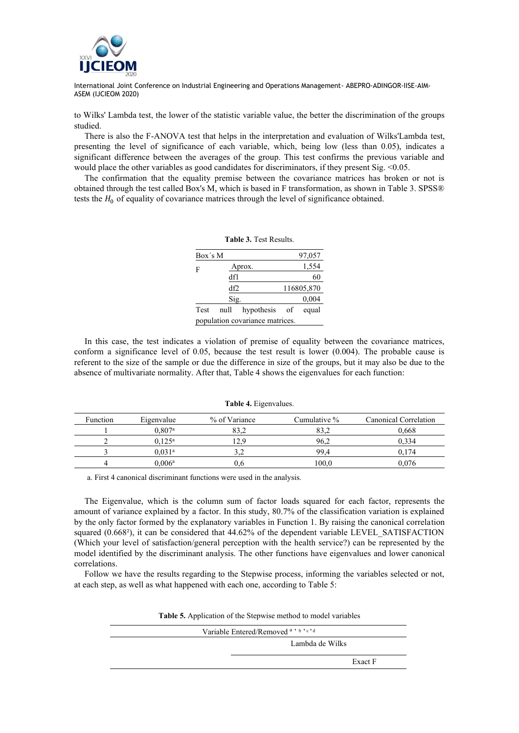

to Wilks' Lambda test, the lower of the statistic variable value, the better the discrimination of the groups studied.

There is also the F-ANOVA test that helps in the interpretation and evaluation of Wilks'Lambda test, presenting the level of significance of each variable, which, being low (less than 0.05), indicates a significant difference between the averages of the group. This test confirms the previous variable and would place the other variables as good candidates for discriminators, if they present Sig. <0.05.

The confirmation that the equality premise between the covariance matrices has broken or not is obtained through the test called Box's M, which is based in F transformation, as shown in Table 3. SPSS® tests the  $H_0$  of equality of covariance matrices through the level of significance obtained.

| Box's M |      |                                 | 97,057     |
|---------|------|---------------------------------|------------|
| F       |      | Aprox.                          | 1,554      |
|         | df1  |                                 | 60         |
|         | df2  |                                 | 116805,870 |
|         | Sig. |                                 | 0,004      |
| Test    | null | hypothesis of                   | equal      |
|         |      | population covariance matrices. |            |

**Table 3.** Test Results.

In this case, the test indicates a violation of premise of equality between the covariance matrices, conform a significance level of 0.05, because the test result is lower (0.004). The probable cause is referent to the size of the sample or due the difference in size of the groups, but it may also be due to the absence of multivariate normality. After that, Table 4 shows the eigenvalues for each function:

#### **Table 4.** Eigenvalues.

| Function | Eigenvalue      | % of Variance | Cumulative % | Canonical Correlation |
|----------|-----------------|---------------|--------------|-----------------------|
|          | $0.807$ a       |               | 83.2         | 0,668                 |
|          | $0.125^{\rm a}$ | 12.9          | 96.2         | 0.334                 |
|          | $0.031^{\rm a}$ |               | 99.4         | 0.174                 |
| 4        | $0.006^{\rm a}$ |               | 100.0        | 0.076                 |

a. First 4 canonical discriminant functions were used in the analysis.

The Eigenvalue, which is the column sum of factor loads squared for each factor, represents the amount of variance explained by a factor. In this study, 80.7% of the classification variation is explained by the only factor formed by the explanatory variables in Function 1. By raising the canonical correlation squared (0.668<sup>2</sup>), it can be considered that 44.62% of the dependent variable LEVEL SATISFACTION (Which your level of satisfaction/general perception with the health service?) can be represented by the model identified by the discriminant analysis. The other functions have eigenvalues and lower canonical correlations.

Follow we have the results regarding to the Stepwise process, informing the variables selected or not, at each step, as well as what happened with each one, according to Table 5:

**Table 5.** Application of the Stepwise method to model variables

| Variable Entered/Removed <sup>a, b, c, d</sup> |
|------------------------------------------------|
| Lambda de Wilks                                |
| Exact F                                        |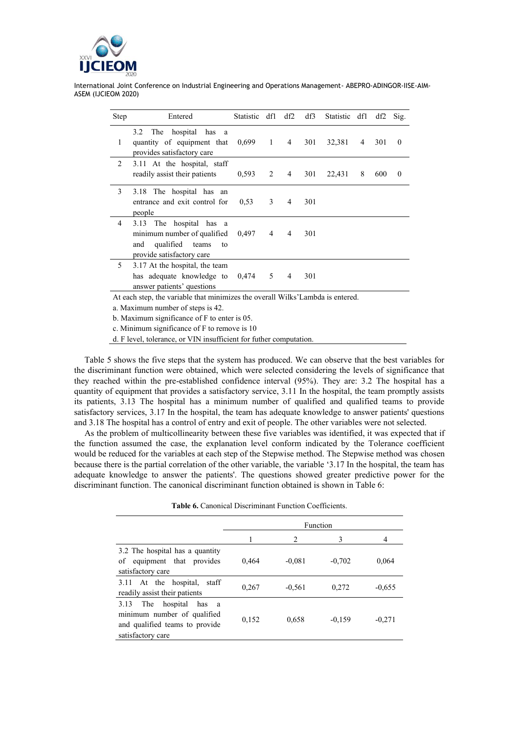

| Step | Entered                                                                                                             | <b>Statistic</b> | df1 | df2            | df3 | Statistic | df1 | df2 | Sig.     |
|------|---------------------------------------------------------------------------------------------------------------------|------------------|-----|----------------|-----|-----------|-----|-----|----------|
| 1    | 3.2<br>hospital<br>has<br>The<br><sub>a</sub><br>quantity of equipment that<br>provides satisfactory care           | $0,699$ 1        |     | $\overline{4}$ | 301 | 32,381    | 4   | 301 | $\theta$ |
| 2    | 3.11 At the hospital, staff<br>readily assist their patients                                                        | 0,593            | 2   | 4              | 301 | 22,431    | 8   | 600 | $\theta$ |
| 3    | The hospital has an<br>3.18<br>entrance and exit control for<br>people                                              | 0,53             | 3   | $\overline{4}$ | 301 |           |     |     |          |
| 4    | 3.13 The hospital has a<br>minimum number of qualified<br>qualified teams<br>and<br>to<br>provide satisfactory care | 0,497            | 4   | 4              | 301 |           |     |     |          |
| 5    | 3.17 At the hospital, the team<br>has adequate knowledge to<br>answer patients' questions                           | 0,474            | 5   | 4              | 301 |           |     |     |          |
|      | At each step, the variable that minimizes the overall Wilks' Lambda is entered.                                     |                  |     |                |     |           |     |     |          |
|      | a. Maximum number of steps is 42.                                                                                   |                  |     |                |     |           |     |     |          |
|      | b. Maximum significance of F to enter is 05.                                                                        |                  |     |                |     |           |     |     |          |
|      | c. Minimum significance of F to remove is 10                                                                        |                  |     |                |     |           |     |     |          |
|      | d. F level, tolerance, or VIN insufficient for futher computation.                                                  |                  |     |                |     |           |     |     |          |

Table 5 shows the five steps that the system has produced. We can observe that the best variables for the discriminant function were obtained, which were selected considering the levels of significance that they reached within the pre-established confidence interval (95%). They are: 3.2 The hospital has a quantity of equipment that provides a satisfactory service, 3.11 In the hospital, the team promptly assists its patients, 3.13 The hospital has a minimum number of qualified and qualified teams to provide satisfactory services, 3.17 In the hospital, the team has adequate knowledge to answer patients' questions and 3.18 The hospital has a control of entry and exit of people. The other variables were not selected.

As the problem of multicollinearity between these five variables was identified, it was expected that if the function assumed the case, the explanation level conform indicated by the Tolerance coefficient would be reduced for the variables at each step of the Stepwise method. The Stepwise method was chosen because there is the partial correlation of the other variable, the variable '3.17 In the hospital, the team has adequate knowledge to answer the patients'. The questions showed greater predictive power for the discriminant function. The canonical discriminant function obtained is shown in Table 6:

|                                                                                                                        |       |          | Function |          |
|------------------------------------------------------------------------------------------------------------------------|-------|----------|----------|----------|
|                                                                                                                        |       | 2        | 3        | 4        |
| 3.2 The hospital has a quantity<br>equipment that provides<br>οf<br>satisfactory care                                  | 0.464 | $-0.081$ | $-0,702$ | 0.064    |
| 3.11 At the hospital,<br>staff<br>readily assist their patients                                                        | 0,267 | $-0,561$ | 0,272    | $-0.655$ |
| 3.13<br>hospital<br>has a<br>The<br>minimum number of qualified<br>and qualified teams to provide<br>satisfactory care | 0,152 | 0,658    | $-0,159$ | $-0,271$ |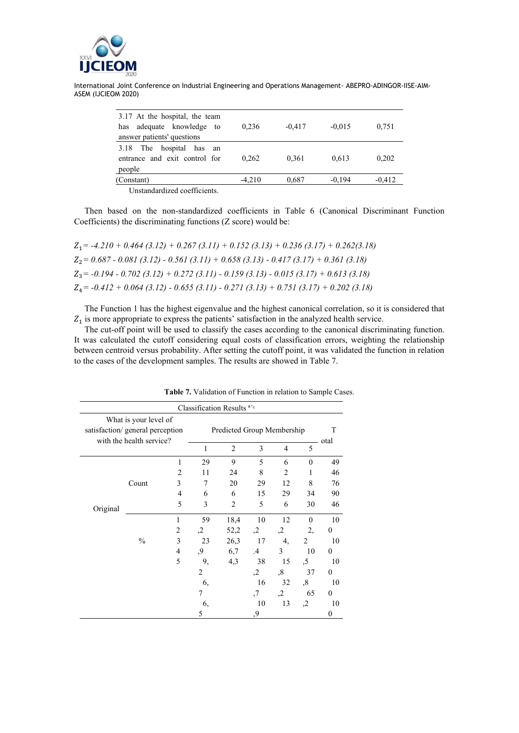

| 3.17 At the hospital, the team                              |          |          |          |          |
|-------------------------------------------------------------|----------|----------|----------|----------|
| adequate knowledge to<br>has                                | 0.236    | $-0.417$ | $-0.015$ | 0,751    |
| answer patients' questions                                  |          |          |          |          |
| 3.18 The hospital has<br>an                                 |          |          |          |          |
| entrance and exit control for                               | 0.262    | 0.361    | 0,613    | 0,202    |
| people                                                      |          |          |          |          |
| (Constant)                                                  | $-4.210$ | 0,687    | $-0.194$ | $-0,412$ |
| $\sim$ $\sim$<br>$\mathbf{r}$ , $\mathbf{r}$ , $\mathbf{r}$ |          |          |          |          |

Unstandardized coefficients.

Then based on the non-standardized coefficients in Table 6 (Canonical Discriminant Function Coefficients) the discriminating functions (Z score) would be:

*= -4.210 + 0.464 (3.12) + 0.267 (3.11) + 0.152 (3.13) + 0.236 (3.17) + 0.262(3.18) = 0.687 - 0.081 (3.12) - 0.561 (3.11) + 0.658 (3.13) - 0.417 (3.17) + 0.361 (3.18) = -0.194 - 0.702 (3.12) + 0.272 (3.11) - 0.159 (3.13) - 0.015 (3.17) + 0.613 (3.18) = -0.412 + 0.064 (3.12) - 0.655 (3.11) - 0.271 (3.13) + 0.751 (3.17) + 0.202 (3.18)*

The Function 1 has the highest eigenvalue and the highest canonical correlation, so it is considered that  $Z_1$  is more appropriate to express the patients' satisfaction in the analyzed health service.

The cut-off point will be used to classify the cases according to the canonical discriminating function. It was calculated the cutoff considering equal costs of classification errors, weighting the relationship between centroid versus probability. After setting the cutoff point, it was validated the function in relation to the cases of the development samples. The results are showed in Table 7.

|          |                                                                                      |                |                | Classification Results <sup>a'c</sup> |           |                      |          |                  |
|----------|--------------------------------------------------------------------------------------|----------------|----------------|---------------------------------------|-----------|----------------------|----------|------------------|
|          | What is your level of<br>satisfaction/general perception<br>with the health service? |                |                | Predicted Group Membership            |           |                      |          | T<br>otal        |
|          |                                                                                      |                | 1              | $\overline{2}$                        | 3         | $\overline{4}$       | 5        |                  |
|          |                                                                                      | 1              | 29             | 9                                     | 5         | 6                    | $\theta$ | 49               |
|          |                                                                                      | $\overline{2}$ | 11             | 24                                    | 8         | $\overline{2}$       | 1        | 46               |
|          | Count                                                                                | 3              | 7              | 20                                    | 29        | 12                   | 8        | 76               |
|          |                                                                                      | 4              | 6              | 6                                     | 15        | 29                   | 34       | 90               |
| Original |                                                                                      | 5              | 3              | $\overline{c}$                        | 5         | 6                    | 30       | 46               |
|          |                                                                                      | 1              | 59             | 18,4                                  | 10        | 12                   | $\theta$ | 10               |
|          |                                                                                      | $\overline{2}$ | $\cdot$        | 52,2                                  | $\cdot$   | $\cdot$              | 2,       | $\theta$         |
|          | $\frac{0}{0}$                                                                        | 3              | 23             | 26,3                                  | 17        | 4,                   | 2        | 10               |
|          |                                                                                      | $\overline{4}$ | ,9             | 6,7                                   | $\cdot$ 4 | 3                    | 10       | $\theta$         |
|          |                                                                                      | 5              | 9,             | 4,3                                   | 38        | 15                   | ,5       | 10               |
|          |                                                                                      |                | $\overline{2}$ |                                       | ,2        | ,8                   | 37       | $\theta$         |
|          |                                                                                      |                | 6,             |                                       | 16        | 32                   | ,8       | 10               |
|          |                                                                                      |                | 7              |                                       | ,7        | $\cdot$ <sup>2</sup> | 65       | $\theta$         |
|          |                                                                                      |                | 6,             |                                       | 10        | 13                   | ,2       | 10               |
|          |                                                                                      |                | 5              |                                       | ,9        |                      |          | $\boldsymbol{0}$ |

**Table 7.** Validation of Function in relation to Sample Cases.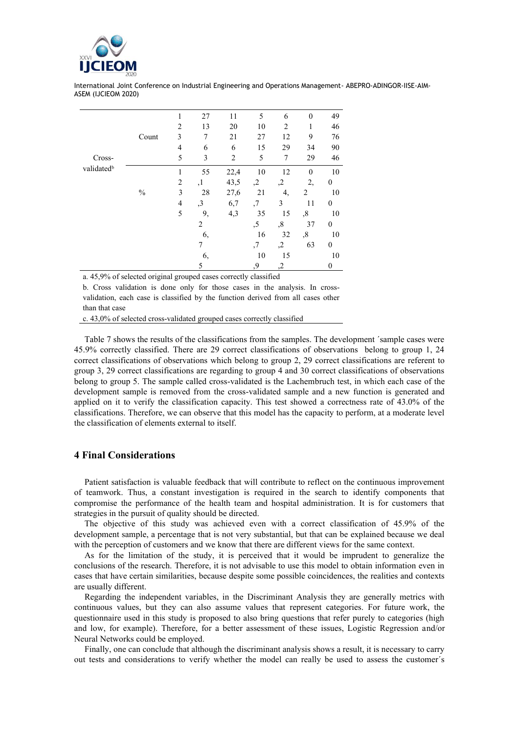

| Cross-<br>validated <sup>b</sup> |       | 1              | 27             | 11   | 5  | 6              | $\mathbf{0}$ | 49               |
|----------------------------------|-------|----------------|----------------|------|----|----------------|--------------|------------------|
|                                  |       | $\overline{2}$ | 13             | 20   | 10 | $\overline{2}$ | 1            | 46               |
|                                  | Count | 3              | 7              | 21   | 27 | 12             | 9            | 76               |
|                                  |       | $\overline{4}$ | 6              | 6    | 15 | 29             | 34           | 90               |
|                                  |       | 5              | 3              | 2    | 5  | 7              | 29           | 46               |
|                                  |       | $\mathbf{1}$   | 55             | 22,4 | 10 | 12             | $\mathbf{0}$ | $10\,$           |
|                                  |       | $\overline{2}$ | ,1             | 43,5 | ,2 | ,2             | 2,           | $\theta$         |
|                                  | $\%$  | 3              | 28             | 27,6 | 21 | 4,             | 2            | 10               |
|                                  |       | $\overline{4}$ | ,3             | 6,7  | ,7 | 3              | 11           | $\boldsymbol{0}$ |
|                                  |       | 5              | 9,             | 4,3  | 35 | 15             | ,8           | 10               |
|                                  |       |                | $\overline{c}$ |      | ,5 | ,8             | 37           | $\boldsymbol{0}$ |
|                                  |       |                | 6,             |      | 16 | 32             | ,8           | 10               |
|                                  |       |                | 7              |      | ,7 | $\cdot$        | 63           | $\theta$         |
|                                  |       |                | 6,             |      | 10 | 15             |              | 10               |
|                                  |       |                | 5              |      | ,9 | ,2             |              | $\mathbf{0}$     |

a. 45,9% of selected original grouped cases correctly classified

b. Cross validation is done only for those cases in the analysis. In crossvalidation, each case is classified by the function derived from all cases other than that case

c. 43,0% of selected cross-validated grouped cases correctly classified

Table 7 shows the results of the classifications from the samples. The development ´sample cases were 45.9% correctly classified. There are 29 correct classifications of observations belong to group 1, 24 correct classifications of observations which belong to group 2, 29 correct classifications are referent to group 3, 29 correct classifications are regarding to group 4 and 30 correct classifications of observations belong to group 5. The sample called cross-validated is the Lachembruch test, in which each case of the development sample is removed from the cross-validated sample and a new function is generated and applied on it to verify the classification capacity. This test showed a correctness rate of 43.0% of the classifications. Therefore, we can observe that this model has the capacity to perform, at a moderate level the classification of elements external to itself.

## **4 Final Considerations**

Patient satisfaction is valuable feedback that will contribute to reflect on the continuous improvement of teamwork. Thus, a constant investigation is required in the search to identify components that compromise the performance of the health team and hospital administration. It is for customers that strategies in the pursuit of quality should be directed.

The objective of this study was achieved even with a correct classification of 45.9% of the development sample, a percentage that is not very substantial, but that can be explained because we deal with the perception of customers and we know that there are different views for the same context.

As for the limitation of the study, it is perceived that it would be imprudent to generalize the conclusions of the research. Therefore, it is not advisable to use this model to obtain information even in cases that have certain similarities, because despite some possible coincidences, the realities and contexts are usually different.

Regarding the independent variables, in the Discriminant Analysis they are generally metrics with continuous values, but they can also assume values that represent categories. For future work, the questionnaire used in this study is proposed to also bring questions that refer purely to categories (high and low, for example). Therefore, for a better assessment of these issues, Logistic Regression and/or Neural Networks could be employed.

Finally, one can conclude that although the discriminant analysis shows a result, it is necessary to carry out tests and considerations to verify whether the model can really be used to assess the customer´s